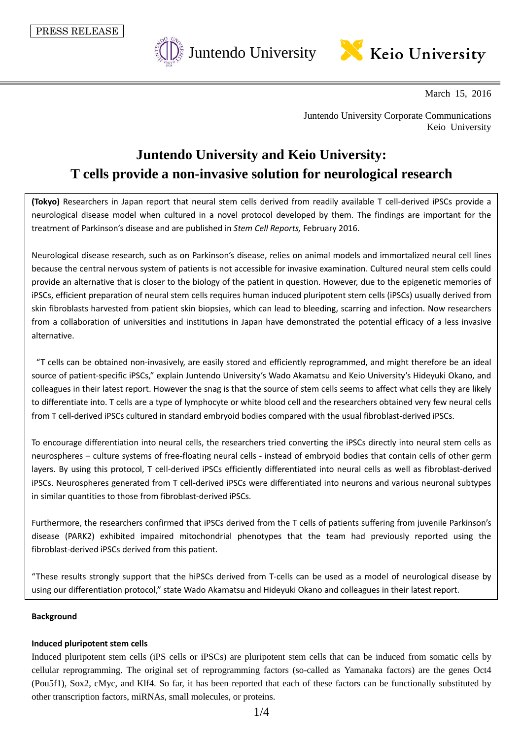

March 15, 2016

Juntendo University Corporate Communications Keio University

# **Juntendo University and Keio University: T cells provide a non-invasive solution for neurological research**

**(Tokyo)** Researchers in Japan report that neural stem cells derived from readily available T cell-derived iPSCs provide a neurological disease model when cultured in a novel protocol developed by them. The findings are important for the treatment of Parkinson's disease and are published in *Stem Cell Reports,* February 2016.

Neurological disease research, such as on Parkinson's disease, relies on animal models and immortalized neural cell lines because the central nervous system of patients is not accessible for invasive examination. Cultured neural stem cells could provide an alternative that is closer to the biology of the patient in question. However, due to the epigenetic memories of iPSCs, efficient preparation of neural stem cells requires human induced pluripotent stem cells (iPSCs) usually derived from skin fibroblasts harvested from patient skin biopsies, which can lead to bleeding, scarring and infection. Now researchers from a collaboration of universities and institutions in Japan have demonstrated the potential efficacy of a less invasive alternative.

"T cells can be obtained non-invasively, are easily stored and efficiently reprogrammed, and might therefore be an ideal source of patient-specific iPSCs," explain Juntendo University's Wado Akamatsu and Keio University's Hideyuki Okano, and colleagues in their latest report. However the snag is that the source of stem cells seems to affect what cells they are likely to differentiate into. T cells are a type of lymphocyte or white blood cell and the researchers obtained very few neural cells from T cell-derived iPSCs cultured in standard embryoid bodies compared with the usual fibroblast-derived iPSCs.

To encourage differentiation into neural cells, the researchers tried converting the iPSCs directly into neural stem cells as neurospheres – culture systems of free-floating neural cells - instead of embryoid bodies that contain cells of other germ layers. By using this protocol, T cell-derived iPSCs efficiently differentiated into neural cells as well as fibroblast-derived iPSCs. Neurospheres generated from T cell-derived iPSCs were differentiated into neurons and various neuronal subtypes in similar quantities to those from fibroblast-derived iPSCs.

Furthermore, the researchers confirmed that iPSCs derived from the T cells of patients suffering from juvenile Parkinson's disease (PARK2) exhibited impaired mitochondrial phenotypes that the team had previously reported using the fibroblast-derived iPSCs derived from this patient.

"These results strongly support that the hiPSCs derived from T-cells can be used as a model of neurological disease by using our differentiation protocol," state Wado Akamatsu and Hideyuki Okano and colleagues in their latest report.

## **Background**

## **Induced pluripotent stem cells**

Induced pluripotent stem cells (iPS cells or iPSCs) are pluripotent stem cells that can be induced from somatic cells by cellular reprogramming. The original set of reprogramming factors (so-called as Yamanaka factors) are the genes Oct4 (Pou5f1), Sox2, cMyc, and Klf4. So far, it has been reported that each of these factors can be functionally substituted by other transcription factors, miRNAs, small molecules, or proteins.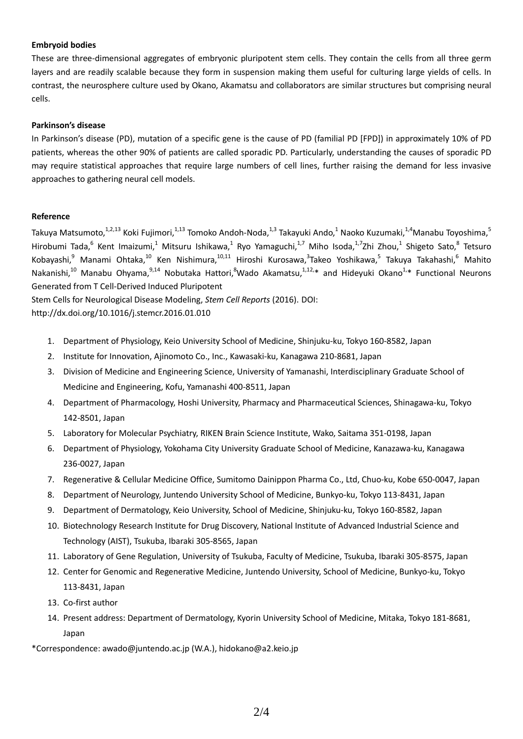## **Embryoid bodies**

These are three-dimensional aggregates of embryonic pluripotent stem cells. They contain the cells from all three germ layers and are readily scalable because they form in suspension making them useful for culturing large yields of cells. In contrast, the neurosphere culture used by Okano, Akamatsu and collaborators are similar structures but comprising neural cells.

## **Parkinson's disease**

In Parkinson's disease (PD), mutation of a specific gene is the cause of PD (familial PD [FPD]) in approximately 10% of PD patients, whereas the other 90% of patients are called sporadic PD. Particularly, understanding the causes of sporadic PD may require statistical approaches that require large numbers of cell lines, further raising the demand for less invasive approaches to gathering neural cell models.

## **Reference**

Takuya Matsumoto,<sup>1,2,13</sup> Koki Fujimori,<sup>1,13</sup> Tomoko Andoh-Noda,<sup>1,3</sup> Takayuki Ando,<sup>1</sup> Naoko Kuzumaki,<sup>1,4</sup>Manabu Toyoshima,<sup>5</sup> Hirobumi Tada,<sup>6</sup> Kent Imaizumi,<sup>1</sup> Mitsuru Ishikawa,<sup>1</sup> Ryo Yamaguchi,<sup>1,7</sup> Miho Isoda,<sup>1,7</sup>Zhi Zhou,<sup>1</sup> Shigeto Sato,<sup>8</sup> Tetsuro Kobayashi,<sup>9</sup> Manami Ohtaka,<sup>10</sup> Ken Nishimura,<sup>10,11</sup> Hiroshi Kurosawa,<sup>3</sup>Takeo Yoshikawa,<sup>5</sup> Takuya Takahashi,<sup>6</sup> Mahito Nakanishi,<sup>10</sup> Manabu Ohyama,<sup>9,14</sup> Nobutaka Hattori,<sup>8</sup>Wado Akamatsu,<sup>1,12,</sup>\* and Hideyuki Okano<sup>1,\*</sup> Functional Neurons Generated from T Cell-Derived Induced Pluripotent

Stem Cells for Neurological Disease Modeling, *Stem Cell Reports* (2016). DOI:

http://dx.doi.org/10.1016/j.stemcr.2016.01.010

- 1. Department of Physiology, Keio University School of Medicine, Shinjuku-ku, Tokyo 160-8582, Japan
- 2. Institute for Innovation, Ajinomoto Co., Inc., Kawasaki-ku, Kanagawa 210-8681, Japan
- 3. Division of Medicine and Engineering Science, University of Yamanashi, Interdisciplinary Graduate School of Medicine and Engineering, Kofu, Yamanashi 400-8511, Japan
- 4. Department of Pharmacology, Hoshi University, Pharmacy and Pharmaceutical Sciences, Shinagawa-ku, Tokyo 142-8501, Japan
- 5. Laboratory for Molecular Psychiatry, RIKEN Brain Science Institute, Wako, Saitama 351-0198, Japan
- 6. Department of Physiology, Yokohama City University Graduate School of Medicine, Kanazawa-ku, Kanagawa 236-0027, Japan
- 7. Regenerative & Cellular Medicine Office, Sumitomo Dainippon Pharma Co., Ltd, Chuo-ku, Kobe 650-0047, Japan
- 8. Department of Neurology, Juntendo University School of Medicine, Bunkyo-ku, Tokyo 113-8431, Japan
- 9. Department of Dermatology, Keio University, School of Medicine, Shinjuku-ku, Tokyo 160-8582, Japan
- 10. Biotechnology Research Institute for Drug Discovery, National Institute of Advanced Industrial Science and Technology (AIST), Tsukuba, Ibaraki 305-8565, Japan
- 11. Laboratory of Gene Regulation, University of Tsukuba, Faculty of Medicine, Tsukuba, Ibaraki 305-8575, Japan
- 12. Center for Genomic and Regenerative Medicine, Juntendo University, School of Medicine, Bunkyo-ku, Tokyo 113-8431, Japan
- 13. Co-first author
- 14. Present address: Department of Dermatology, Kyorin University School of Medicine, Mitaka, Tokyo 181-8681, Japan

\*Correspondence: awado@juntendo.ac.jp (W.A.), hidokano@a2.keio.jp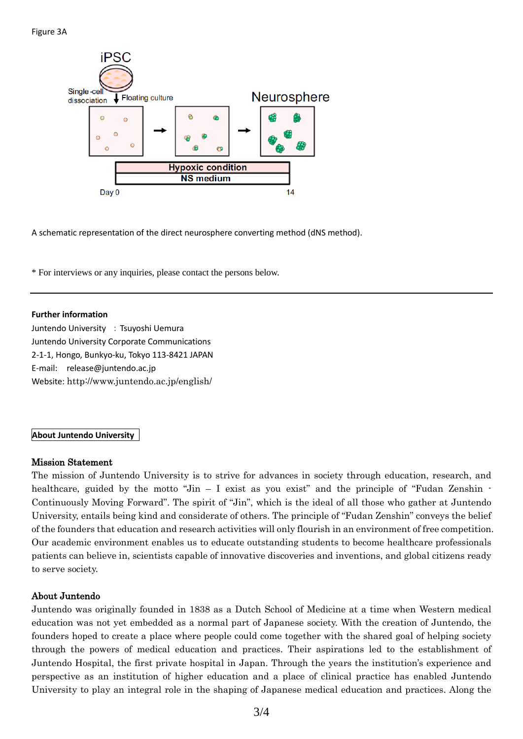

A schematic representation of the direct neurosphere converting method (dNS method).

\* For interviews or any inquiries, please contact the persons below.

#### **Further information**

Juntendo University : Tsuyoshi Uemura Juntendo University Corporate Communications 2-1-1, Hongo, Bunkyo-ku, Tokyo 113-8421 JAPAN E-mail: release@juntendo.ac.jp Website: <http://www.juntendo.ac.jp/english/>

## **About Juntendo University**

## Mission Statement

The mission of Juntendo University is to strive for advances in society through education, research, and healthcare, guided by the motto "Jin  $-$  I exist as you exist" and the principle of "Fudan Zenshin  $-$ Continuously Moving Forward". The spirit of "Jin", which is the ideal of all those who gather at Juntendo University, entails being kind and considerate of others. The principle of "Fudan Zenshin" conveys the belief of the founders that education and research activities will only flourish in an environment of free competition. Our academic environment enables us to educate outstanding students to become healthcare professionals patients can believe in, scientists capable of innovative discoveries and inventions, and global citizens ready to serve society.

## About Juntendo

Juntendo was originally founded in 1838 as a Dutch School of Medicine at a time when Western medical education was not yet embedded as a normal part of Japanese society. With the creation of Juntendo, the founders hoped to create a place where people could come together with the shared goal of helping society through the powers of medical education and practices. Their aspirations led to the establishment of Juntendo Hospital, the first private hospital in Japan. Through the years the institution's experience and perspective as an institution of higher education and a place of clinical practice has enabled Juntendo University to play an integral role in the shaping of Japanese medical education and practices. Along the